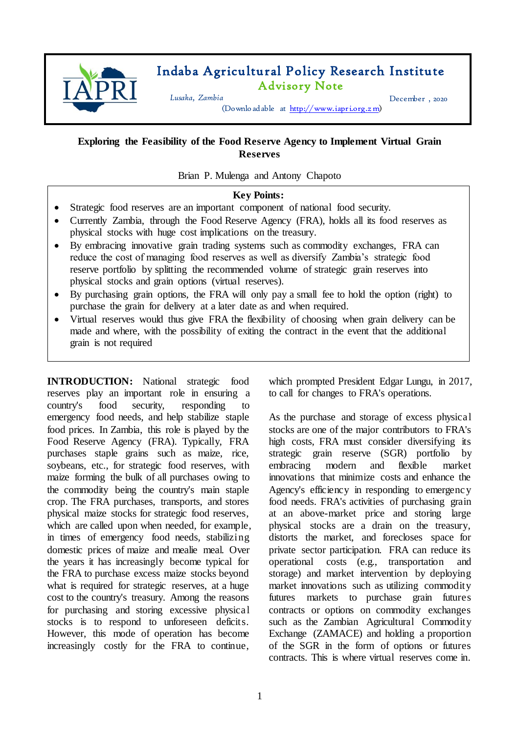

# Indaba Agricultural Policy Research Institute Advisory Note

*Lusaka, Zambia* December , 2020

(Downloadable at [http://www.iapri.org.z m\)](http://www.iapri.org.zm/)

## **Exploring the Feasibility of the Food Reserve Agency to Implement Virtual Grain Reserves**

Brian P. Mulenga and Antony Chapoto

#### **Key Points:**

- Strategic food reserves are an important component of national food security.
- Currently Zambia, through the Food Reserve Agency (FRA), holds all its food reserves as physical stocks with huge cost implications on the treasury.
- By embracing innovative grain trading systems such as commodity exchanges, FRA can reduce the cost of managing food reserves as well as diversify Zambia's strategic food reserve portfolio by splitting the recommended volume of strategic grain reserves into physical stocks and grain options (virtual reserves).
- By purchasing grain options, the FRA will only pay a small fee to hold the option (right) to purchase the grain for delivery at a later date as and when required.
- Virtual reserves would thus give FRA the flexibility of choosing when grain delivery can be made and where, with the possibility of exiting the contract in the event that the additional grain is not required

**INTRODUCTION:** National strategic food reserves play an important role in ensuring a country's food security, responding to emergency food needs, and help stabilize staple food prices. In Zambia, this role is played by the Food Reserve Agency (FRA). Typically, FRA purchases staple grains such as maize, rice, soybeans, etc., for strategic food reserves, with maize forming the bulk of all purchases owing to the commodity being the country's main staple crop. The FRA purchases, transports, and stores physical maize stocks for strategic food reserves, which are called upon when needed, for example, in times of emergency food needs, stabilizing domestic prices of maize and mealie meal. Over the years it has increasingly become typical for the FRA to purchase excess maize stocks beyond what is required for strategic reserves, at a huge cost to the country's treasury. Among the reasons for purchasing and storing excessive physical stocks is to respond to unforeseen deficits. However, this mode of operation has become increasingly costly for the FRA to continue,

which prompted President Edgar Lungu, in 2017, to call for changes to FRA's operations.

As the purchase and storage of excess physical stocks are one of the major contributors to FRA's high costs, FRA must consider diversifying its strategic grain reserve (SGR) portfolio by embracing modern and flexible market innovations that minimize costs and enhance the Agency's efficiency in responding to emergency food needs. FRA's activities of purchasing grain at an above-market price and storing large physical stocks are a drain on the treasury, distorts the market, and forecloses space for private sector participation. FRA can reduce its operational costs (e.g., transportation and storage) and market intervention by deploying market innovations such as utilizing commodity futures markets to purchase grain futures contracts or options on commodity exchanges such as the Zambian Agricultural Commodity Exchange (ZAMACE) and holding a proportion of the SGR in the form of options or futures contracts. This is where virtual reserves come in.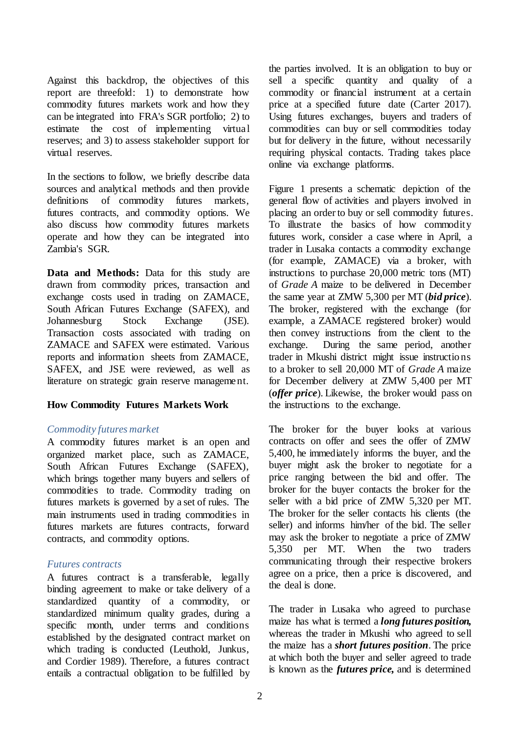Against this backdrop, the objectives of this report are threefold: 1) to demonstrate how commodity futures markets work and how they can be integrated into FRA's SGR portfolio; 2) to estimate the cost of implementing virtual reserves; and 3) to assess stakeholder support for virtual reserves.

In the sections to follow, we briefly describe data sources and analytical methods and then provide definitions of commodity futures markets, futures contracts, and commodity options. We also discuss how commodity futures markets operate and how they can be integrated into Zambia's SGR.

**Data and Methods:** Data for this study are drawn from commodity prices, transaction and exchange costs used in trading on ZAMACE, South African Futures Exchange (SAFEX), and Johannesburg Stock Exchange (JSE). Transaction costs associated with trading on ZAMACE and SAFEX were estimated. Various reports and information sheets from ZAMACE, SAFEX, and JSE were reviewed, as well as literature on strategic grain reserve management.

### **How Commodity Futures Markets Work**

### *Commodity futures market*

A commodity futures market is an open and organized market place, such as ZAMACE, South African Futures Exchange (SAFEX), which brings together many buyers and sellers of commodities to trade. Commodity trading on futures markets is governed by a set of rules. The main instruments used in trading commodities in futures markets are futures contracts, forward contracts, and commodity options.

### *Futures contracts*

A futures contract is a transferable, legally binding agreement to make or take delivery of a standardized quantity of a commodity, or standardized minimum quality grades, during a specific month, under terms and conditions established by the designated contract market on which trading is conducted (Leuthold, Junkus, and Cordier 1989). Therefore, a futures contract entails a contractual obligation to be fulfilled by the parties involved. It is an obligation to buy or sell a specific quantity and quality of a commodity or financial instrument at a certain price at a specified future date (Carter 2017). Using futures exchanges, buyers and traders of commodities can buy or sell commodities today but for delivery in the future, without necessarily requiring physical contacts. Trading takes place online via exchange platforms.

Figure 1 presents a schematic depiction of the general flow of activities and players involved in placing an order to buy or sell commodity futures. To illustrate the basics of how commodity futures work, consider a case where in April, a trader in Lusaka contacts a commodity exchange (for example, ZAMACE) via a broker, with instructions to purchase 20,000 metric tons (MT) of *Grade A* maize to be delivered in December the same year at ZMW 5,300 per MT (*bid price*). The broker, registered with the exchange (for example, a ZAMACE registered broker) would then convey instructions from the client to the exchange. During the same period, another trader in Mkushi district might issue instructions to a broker to sell 20,000 MT of *Grade A* maize for December delivery at ZMW 5,400 per MT (*offer price*). Likewise, the broker would pass on the instructions to the exchange.

The broker for the buyer looks at various contracts on offer and sees the offer of ZMW 5,400, he immediately informs the buyer, and the buyer might ask the broker to negotiate for a price ranging between the bid and offer. The broker for the buyer contacts the broker for the seller with a bid price of ZMW 5,320 per MT. The broker for the seller contacts his clients (the seller) and informs him/her of the bid. The seller may ask the broker to negotiate a price of ZMW 5,350 per MT. When the two traders communicating through their respective brokers agree on a price, then a price is discovered, and the deal is done.

The trader in Lusaka who agreed to purchase maize has what is termed a *long futures position,*  whereas the trader in Mkushi who agreed to sell the maize has a *short futures position*. The price at which both the buyer and seller agreed to trade is known as the *futures price,* and is determined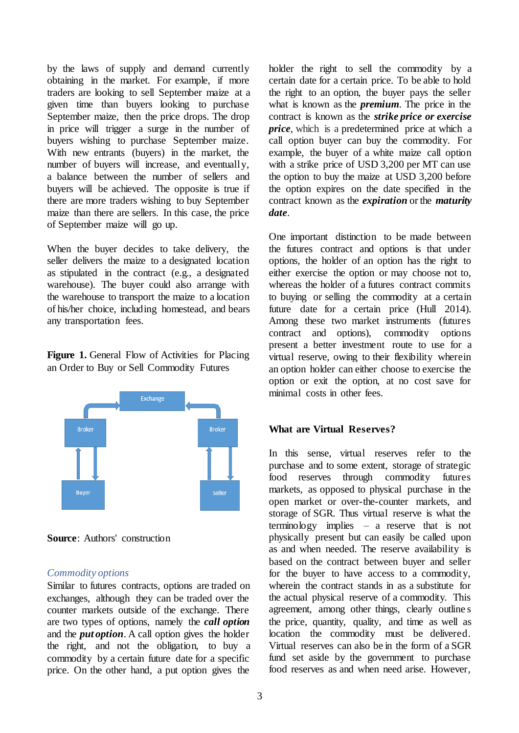by the laws of supply and demand currently obtaining in the market. For example, if more traders are looking to sell September maize at a given time than buyers looking to purchase September maize, then the price drops. The drop in price will trigger a surge in the number of buyers wishing to purchase September maize. With new entrants (buyers) in the market, the number of buyers will increase, and eventually, a balance between the number of sellers and buyers will be achieved. The opposite is true if there are more traders wishing to buy September maize than there are sellers. In this case, the price of September maize will go up.

When the buyer decides to take delivery, the seller delivers the maize to a designated location as stipulated in the contract (e.g., a designated warehouse). The buyer could also arrange with the warehouse to transport the maize to a location of his/her choice, including homestead, and bears any transportation fees.

Figure 1. General Flow of Activities for Placing an Order to Buy or Sell Commodity Futures



**Source**: Authors' construction

### *Commodity options*

Similar to futures contracts, options are traded on exchanges, although they can be traded over the counter markets outside of the exchange. There are two types of options, namely the *call option* and the *put option*. A call option gives the holder the right, and not the obligation, to buy a commodity by a certain future date for a specific price. On the other hand, a put option gives the

holder the right to sell the commodity by a certain date for a certain price. To be able to hold the right to an option, the buyer pays the seller what is known as the *premium*. The price in the contract is known as the *strike price or exercise price*, which is a predetermined price at which a call option buyer can buy the commodity. For example, the buyer of a white maize call option with a strike price of USD 3,200 per MT can use the option to buy the maize at USD 3,200 before the option expires on the date specified in the contract known as the *expiration* or the *maturity date*.

One important distinction to be made between the futures contract and options is that under options, the holder of an option has the right to either exercise the option or may choose not to, whereas the holder of a futures contract commits to buying or selling the commodity at a certain future date for a certain price (Hull 2014). Among these two market instruments (futures contract and options), commodity options present a better investment route to use for a virtual reserve, owing to their flexibility wherein an option holder can either choose to exercise the option or exit the option, at no cost save for minimal costs in other fees.

## **What are Virtual Reserves?**

In this sense, virtual reserves refer to the purchase and to some extent, storage of strategic food reserves through commodity futures markets, as opposed to physical purchase in the open market or over-the-counter markets, and storage of SGR. Thus virtual reserve is what the terminology implies – a reserve that is not physically present but can easily be called upon as and when needed. The reserve availability is based on the contract between buyer and seller for the buyer to have access to a commodity, wherein the contract stands in as a substitute for the actual physical reserve of a commodity. This agreement, among other things, clearly outline s the price, quantity, quality, and time as well as location the commodity must be delivered. Virtual reserves can also be in the form of a SGR fund set aside by the government to purchase food reserves as and when need arise. However,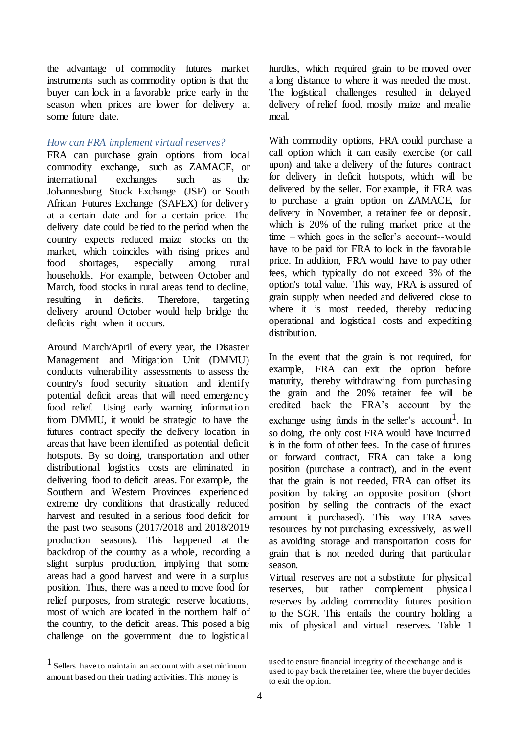the advantage of commodity futures market instruments such as commodity option is that the buyer can lock in a favorable price early in the season when prices are lower for delivery at some future date.

### *How can FRA implement virtual reserves?*

FRA can purchase grain options from local commodity exchange, such as ZAMACE, or international exchanges such as the Johannesburg Stock Exchange (JSE) or South African Futures Exchange (SAFEX) for delivery at a certain date and for a certain price. The delivery date could be tied to the period when the country expects reduced maize stocks on the market, which coincides with rising prices and food shortages, especially among rural households. For example, between October and March, food stocks in rural areas tend to decline, resulting in deficits. Therefore, targeting delivery around October would help bridge the deficits right when it occurs.

Around March/April of every year, the Disaster Management and Mitigation Unit (DMMU) conducts vulnerability assessments to assess the country's food security situation and identify potential deficit areas that will need emergency food relief. Using early warning information from DMMU, it would be strategic to have the futures contract specify the delivery location in areas that have been identified as potential deficit hotspots. By so doing, transportation and other distributional logistics costs are eliminated in delivering food to deficit areas. For example, the Southern and Western Provinces experienced extreme dry conditions that drastically reduced harvest and resulted in a serious food deficit for the past two seasons (2017/2018 and 2018/2019 production seasons). This happened at the backdrop of the country as a whole, recording a slight surplus production, implying that some areas had a good harvest and were in a surplus position. Thus, there was a need to move food for relief purposes, from strategic reserve locations, most of which are located in the northern half of the country, to the deficit areas. This posed a big challenge on the government due to logistical

1 Sellers have to maintain an account with a set minimum amount based on their trading activities. This money is

 $\overline{a}$ 

hurdles, which required grain to be moved over a long distance to where it was needed the most. The logistical challenges resulted in delayed delivery of relief food, mostly maize and mealie meal.

With commodity options, FRA could purchase a call option which it can easily exercise (or call upon) and take a delivery of the futures contract for delivery in deficit hotspots, which will be delivered by the seller. For example, if FRA was to purchase a grain option on ZAMACE, for delivery in November, a retainer fee or deposit, which is 20% of the ruling market price at the time – which goes in the seller's account--would have to be paid for FRA to lock in the favorable price. In addition, FRA would have to pay other fees, which typically do not exceed 3% of the option's total value. This way, FRA is assured of grain supply when needed and delivered close to where it is most needed, thereby reducing operational and logistical costs and expediting distribution.

In the event that the grain is not required, for example, FRA can exit the option before maturity, thereby withdrawing from purchasing the grain and the 20% retainer fee will be credited back the FRA's account by the exchange using funds in the seller's  $account<sup>1</sup>$ . In so doing, the only cost FRA would have incurred is in the form of other fees. In the case of futures or forward contract, FRA can take a long position (purchase a contract), and in the event that the grain is not needed, FRA can offset its position by taking an opposite position (short position by selling the contracts of the exact amount it purchased). This way FRA saves resources by not purchasing excessively, as well as avoiding storage and transportation costs for grain that is not needed during that particular season.

Virtual reserves are not a substitute for physical reserves, but rather complement physical reserves by adding commodity futures position to the SGR. This entails the country holding a mix of physical and virtual reserves. Table 1

used to ensure financial integrity of the exchange and is used to pay back the retainer fee, where the buyer decides to exit the option.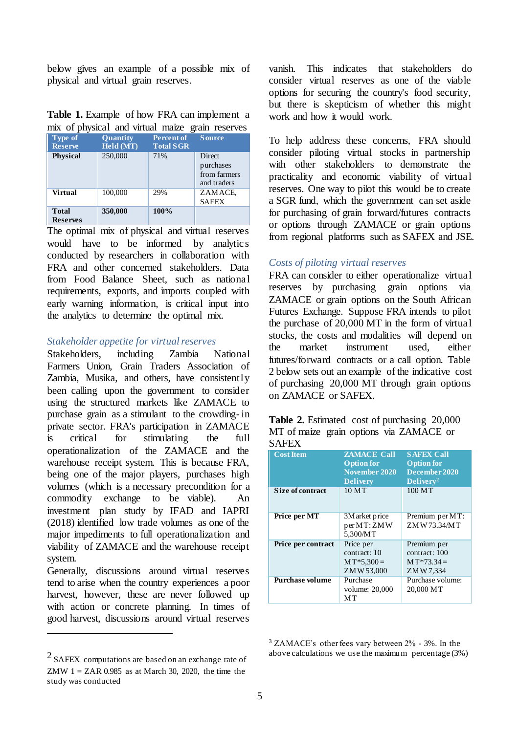below gives an example of a possible mix of physical and virtual grain reserves.

| <b>Table 1.</b> Example of how FRA can implement a |  |  |
|----------------------------------------------------|--|--|
| mix of physical and virtual maize grain reserves   |  |  |

| <b>Type of</b><br><b>Reserve</b> | <b>Quantity</b><br>Held (MT) | <b>Percent of</b><br><b>Total SGR</b> | <b>Source</b>                                             |
|----------------------------------|------------------------------|---------------------------------------|-----------------------------------------------------------|
| <b>Physical</b>                  | 250,000                      | 71%                                   | <b>Direct</b><br>purchases<br>from farmers<br>and traders |
| <b>Virtual</b>                   | 100,000                      | 29%                                   | ZAMACE,<br><b>SAFEX</b>                                   |
| <b>Total</b><br><b>Reserves</b>  | 350,000                      | 100%                                  |                                                           |

The optimal mix of physical and virtual reserves would have to be informed by analytics conducted by researchers in collaboration with FRA and other concerned stakeholders. Data from Food Balance Sheet, such as national requirements, exports, and imports coupled with early warning information, is critical input into the analytics to determine the optimal mix.

#### *Stakeholder appetite for virtual reserves*

Stakeholders, including Zambia National Farmers Union, Grain Traders Association of Zambia, Musika, and others, have consistently been calling upon the government to consider using the structured markets like ZAMACE to purchase grain as a stimulant to the crowding- in private sector. FRA's participation in ZAMACE is critical for stimulating the full operationalization of the ZAMACE and the warehouse receipt system. This is because FRA, being one of the major players, purchases high volumes (which is a necessary precondition for a commodity exchange to be viable). An investment plan study by IFAD and IAPRI (2018) identified low trade volumes as one of the major impediments to full operationalization and viability of ZAMACE and the warehouse receipt system.

Generally, discussions around virtual reserves tend to arise when the country experiences a poor harvest, however, these are never followed up with action or concrete planning. In times of good harvest, discussions around virtual reserves

 $\overline{a}$ 

vanish. This indicates that stakeholders do consider virtual reserves as one of the viable options for securing the country's food security, but there is skepticism of whether this might work and how it would work.

To help address these concerns, FRA should consider piloting virtual stocks in partnership with other stakeholders to demonstrate the practicality and economic viability of virtual reserves. One way to pilot this would be to create a SGR fund, which the government can set aside for purchasing of grain forward/futures contracts or options through ZAMACE or grain options from regional platforms such as SAFEX and JSE.

#### *Costs of piloting virtual reserves*

FRA can consider to either operationalize virtual reserves by purchasing grain options via ZAMACE or grain options on the South African Futures Exchange. Suppose FRA intends to pilot the purchase of 20,000 MT in the form of virtual stocks, the costs and modalities will depend on the market instrument used, either futures/forward contracts or a call option. Table 2 below sets out an example of the indicative cost of purchasing 20,000 MT through grain options on ZAMACE or SAFEX.

| <b>Table 2.</b> Estimated cost of purchasing 20,000 |  |  |  |
|-----------------------------------------------------|--|--|--|
| MT of maize grain options via ZAMACE or             |  |  |  |
| <b>SAFEX</b>                                        |  |  |  |

| <b>Cost Item</b>          | <b>ZAMACE Call</b><br><b>Option for</b><br>November 2020<br><b>Delivery</b> | <b>SAFEX Call</b><br><b>Option for</b><br>December 2020<br>Delivery <sup>2</sup> |
|---------------------------|-----------------------------------------------------------------------------|----------------------------------------------------------------------------------|
| Size of contract          | 10MT                                                                        | 100MT                                                                            |
| Price per MT              | 3M arket price<br>per MT: ZMW<br>5.300/MT                                   | Premium per MT:<br>ZMW 73.34/MT                                                  |
| <b>Price per contract</b> | Price per<br>contract: 10<br>$MT*5,300=$<br>ZMW 53,000                      | Premium per<br>contract: 100<br>$MT*73.34=$<br>ZMW7,334                          |
| Purchase volume           | Purchase<br>volume: 20,000<br>MТ                                            | Purchase volume:<br>20,000 MT                                                    |

<sup>3</sup> ZAMACE's other fees vary between 2% - 3%. In the above calculations we use the maximum percentage (3%)

 $2$  SAFEX computations are based on an exchange rate of ZMW  $1 = ZAR$  0.985 as at March 30, 2020, the time the study was conducted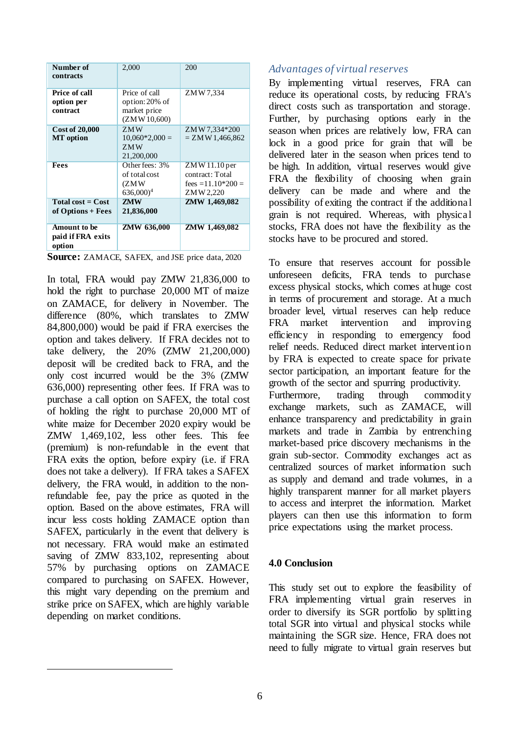| Number of<br>contracts                             | 2,000                                                             | 200                                                                    |
|----------------------------------------------------|-------------------------------------------------------------------|------------------------------------------------------------------------|
| Price of call<br>option per<br>contract            | Price of call<br>option: 20% of<br>market price<br>(ZM W 10,600)  | ZMW 7.334                                                              |
| <b>Cost of 20,000</b><br><b>MT</b> option          | ZMW<br>$10,060*2,000=$<br>ZMW<br>21,200,000                       | ZMW 7,334*200<br>$= ZM W 1,466,862$                                    |
| <b>Fees</b>                                        | Other fees: 3%<br>of total cost<br>(ZMW<br>$636,000$ <sup>4</sup> | $ZMW11.10$ per<br>contract: Total<br>fees = $11.10*200 =$<br>ZMW 2,220 |
| Total cost $=$ Cost<br>of Options + Fees           | <b>ZMW</b><br>21,836,000                                          | ZMW 1,469,082                                                          |
| <b>Amount to be</b><br>paid if FRA exits<br>option | ZMW 636,000                                                       | ZMW 1,469,082                                                          |

In total, FRA would pay ZMW 21,836,000 to hold the right to purchase 20,000 MT of maize on ZAMACE, for delivery in November. The difference (80%, which translates to ZMW 84,800,000) would be paid if FRA exercises the option and takes delivery. If FRA decides not to take delivery, the 20% (ZMW 21,200,000) deposit will be credited back to FRA, and the only cost incurred would be the 3% (ZMW 636,000) representing other fees. If FRA was to purchase a call option on SAFEX, the total cost of holding the right to purchase 20,000 MT of white maize for December 2020 expiry would be ZMW 1,469,102, less other fees. This fee (premium) is non-refundable in the event that FRA exits the option, before expiry (i.e. if FRA does not take a delivery). If FRA takes a SAFEX delivery, the FRA would, in addition to the nonrefundable fee, pay the price as quoted in the option. Based on the above estimates, FRA will incur less costs holding ZAMACE option than SAFEX, particularly in the event that delivery is not necessary. FRA would make an estimated saving of ZMW 833,102, representing about 57% by purchasing options on ZAMACE compared to purchasing on SAFEX. However, this might vary depending on the premium and strike price on SAFEX, which are highly variable depending on market conditions.

 $\overline{a}$ 

### *Advantages of virtual reserves*

By implementing virtual reserves, FRA can reduce its operational costs, by reducing FRA's direct costs such as transportation and storage. Further, by purchasing options early in the season when prices are relatively low, FRA can lock in a good price for grain that will be delivered later in the season when prices tend to be high. In addition, virtual reserves would give FRA the flexibility of choosing when grain delivery can be made and where and the possibility of exiting the contract if the additional grain is not required. Whereas, with physical stocks, FRA does not have the flexibility as the stocks have to be procured and stored.

To ensure that reserves account for possible unforeseen deficits, FRA tends to purchase excess physical stocks, which comes at huge cost in terms of procurement and storage. At a much broader level, virtual reserves can help reduce FRA market intervention and improving efficiency in responding to emergency food relief needs. Reduced direct market intervention by FRA is expected to create space for private sector participation, an important feature for the growth of the sector and spurring productivity. Furthermore, trading through commodity exchange markets, such as ZAMACE, will enhance transparency and predictability in grain markets and trade in Zambia by entrenching market-based price discovery mechanisms in the grain sub-sector. Commodity exchanges act as centralized sources of market information such as supply and demand and trade volumes, in a highly transparent manner for all market players to access and interpret the information. Market players can then use this information to form price expectations using the market process.

## **4.0 Conclusion**

This study set out to explore the feasibility of FRA implementing virtual grain reserves in order to diversify its SGR portfolio by splitting total SGR into virtual and physical stocks while maintaining the SGR size. Hence, FRA does not need to fully migrate to virtual grain reserves but